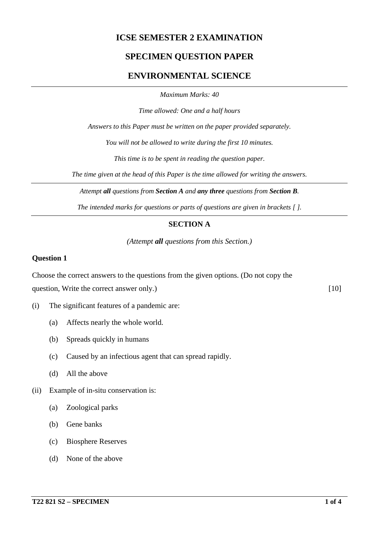## **ICSE SEMESTER 2 EXAMINATION**

## **SPECIMEN QUESTION PAPER**

## **ENVIRONMENTAL SCIENCE**

*Maximum Marks: 40*

*Time allowed: One and a half hours*

*Answers to this Paper must be written on the paper provided separately.*

*You will not be allowed to write during the first 10 minutes.*

*This time is to be spent in reading the question paper.*

*The time given at the head of this Paper is the time allowed for writing the answers.*

*Attempt all questions from Section A and any three questions from Section B.*

*The intended marks for questions or parts of questions are given in brackets [ ].*

### **SECTION A**

*(Attempt all questions from this Section.)*

#### **Question 1**

Choose the correct answers to the questions from the given options. (Do not copy the question, Write the correct answer only.) [10]

- (i) The significant features of a pandemic are:
	- (a) Affects nearly the whole world.
	- (b) Spreads quickly in humans
	- (c) Caused by an infectious agent that can spread rapidly.
	- (d) All the above
- (ii) Example of in-situ conservation is:
	- (a) Zoological parks
	- (b) Gene banks
	- (c) Biosphere Reserves
	- (d) None of the above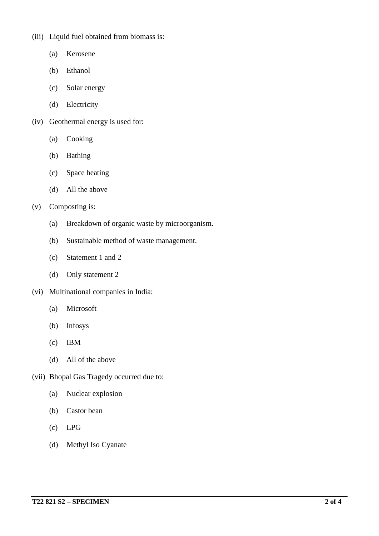(iii) Liquid fuel obtained from biomass is:

- (a) Kerosene
- (b) Ethanol
- (c) Solar energy
- (d) Electricity
- (iv) Geothermal energy is used for:
	- (a) Cooking
	- (b) Bathing
	- (c) Space heating
	- (d) All the above

#### (v) Composting is:

- (a) Breakdown of organic waste by microorganism.
- (b) Sustainable method of waste management.
- (c) Statement 1 and 2
- (d) Only statement 2
- (vi) Multinational companies in India:
	- (a) Microsoft
	- (b) Infosys
	- (c) IBM
	- (d) All of the above
- (vii) Bhopal Gas Tragedy occurred due to:
	- (a) Nuclear explosion
	- (b) Castor bean
	- (c) LPG
	- (d) Methyl Iso Cyanate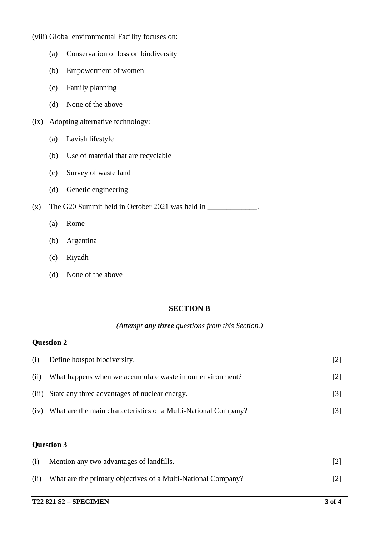- (viii) Global environmental Facility focuses on:
	- (a) Conservation of loss on biodiversity
	- (b) Empowerment of women
	- (c) Family planning
	- (d) None of the above
- (ix) Adopting alternative technology:
	- (a) Lavish lifestyle
	- (b) Use of material that are recyclable
	- (c) Survey of waste land
	- (d) Genetic engineering

(x) The G20 Summit held in October 2021 was held in  $\frac{1}{\sqrt{1-\frac{1}{\sqrt{1-\frac{1}{\sqrt{1-\frac{1}{\sqrt{1-\frac{1}{\sqrt{1-\frac{1}{\sqrt{1-\frac{1}{\sqrt{1-\frac{1}{\sqrt{1-\frac{1}{\sqrt{1-\frac{1}{\sqrt{1-\frac{1}{\sqrt{1-\frac{1}{\sqrt{1-\frac{1}{\sqrt{1-\frac{1}{\sqrt{1-\frac{1}{\sqrt{1-\frac{1}{\sqrt{1-\frac{1}{\sqrt{1-\frac{1}{\sqrt{1-\frac{1}{\$ 

- (a) Rome
- (b) Argentina
- (c) Riyadh
- (d) None of the above

#### **SECTION B**

#### *(Attempt any three questions from this Section.)*

#### **Question 2**

| (i)  | Define hotspot biodiversity.                                   | [2]               |
|------|----------------------------------------------------------------|-------------------|
| (ii) | What happens when we accumulate waste in our environment?      | $\lceil 2 \rceil$ |
|      | (iii) State any three advantages of nuclear energy.            | [3]               |
| (iv) | What are the main characteristics of a Multi-National Company? | [3]               |

### **Question 3**

| (i)  | Mention any two advantages of landfills.                     |  |
|------|--------------------------------------------------------------|--|
| (ii) | What are the primary objectives of a Multi-National Company? |  |